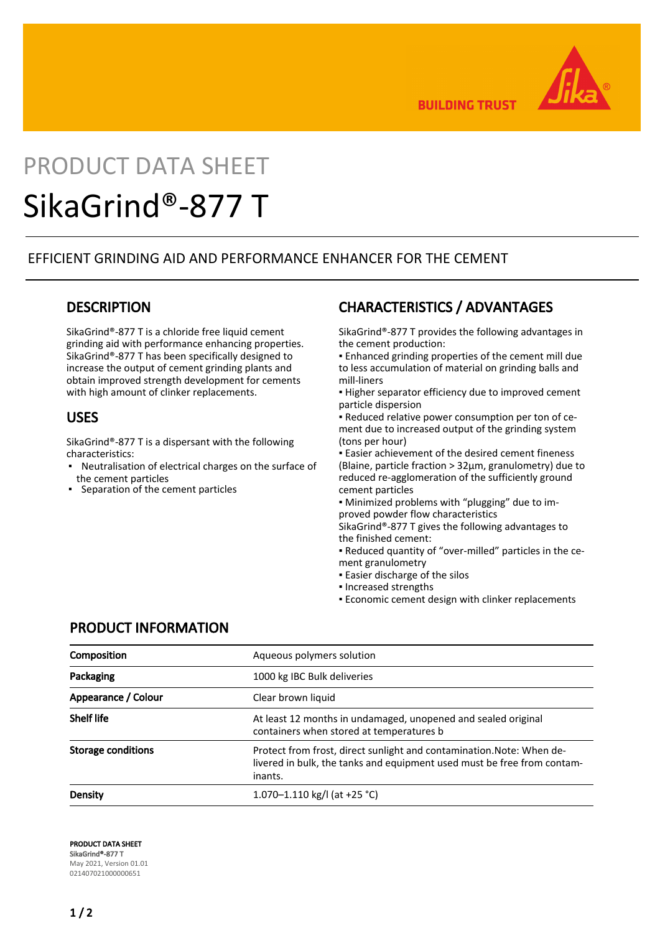

**BUILDING TRUST** 

# PRODUCT DATA SHEET SikaGrind®-877 T

#### EFFICIENT GRINDING AID AND PERFORMANCE ENHANCER FOR THE CEMENT

#### **DESCRIPTION**

SikaGrind®-877 T is a chloride free liquid cement grinding aid with performance enhancing properties. SikaGrind®-877 T has been specifically designed to increase the output of cement grinding plants and obtain improved strength development for cements with high amount of clinker replacements.

#### USES

SikaGrind®-877 T is a dispersant with the following characteristics:

- Neutralisation of electrical charges on the surface of the cement particles
- **Separation of the cement particles**

# CHARACTERISTICS / ADVANTAGES

SikaGrind®-877 T provides the following advantages in the cement production:

▪ Enhanced grinding properties of the cement mill due to less accumulation of material on grinding balls and mill-liners

**.** Higher separator efficiency due to improved cement particle dispersion

▪ Reduced relative power consumption per ton of cement due to increased output of the grinding system (tons per hour)

**Easier achievement of the desired cement fineness** (Blaine, particle fraction > 32μm, granulometry) due to reduced re-agglomeration of the sufficiently ground cement particles

▪ Minimized problems with "plugging" due to improved powder flow characteristics

SikaGrind®-877 T gives the following advantages to the finished cement:

▪ Reduced quantity of "over-milled" particles in the cement granulometry

- **Easier discharge of the silos**
- Increased strengths
- **Economic cement design with clinker replacements**

#### PRODUCT INFORMATION

| <b>Composition</b>        | Aqueous polymers solution                                                                                                                                   |
|---------------------------|-------------------------------------------------------------------------------------------------------------------------------------------------------------|
| Packaging                 | 1000 kg IBC Bulk deliveries                                                                                                                                 |
| Appearance / Colour       | Clear brown liquid                                                                                                                                          |
| <b>Shelf life</b>         | At least 12 months in undamaged, unopened and sealed original<br>containers when stored at temperatures b                                                   |
| <b>Storage conditions</b> | Protect from frost, direct sunlight and contamination. Note: When de-<br>livered in bulk, the tanks and equipment used must be free from contam-<br>inants. |
| Density                   | 1.070–1.110 kg/l (at +25 °C)                                                                                                                                |

PRODUCT DATA SHEET SikaGrind®-877 T May 2021, Version 01.01 021407021000000651